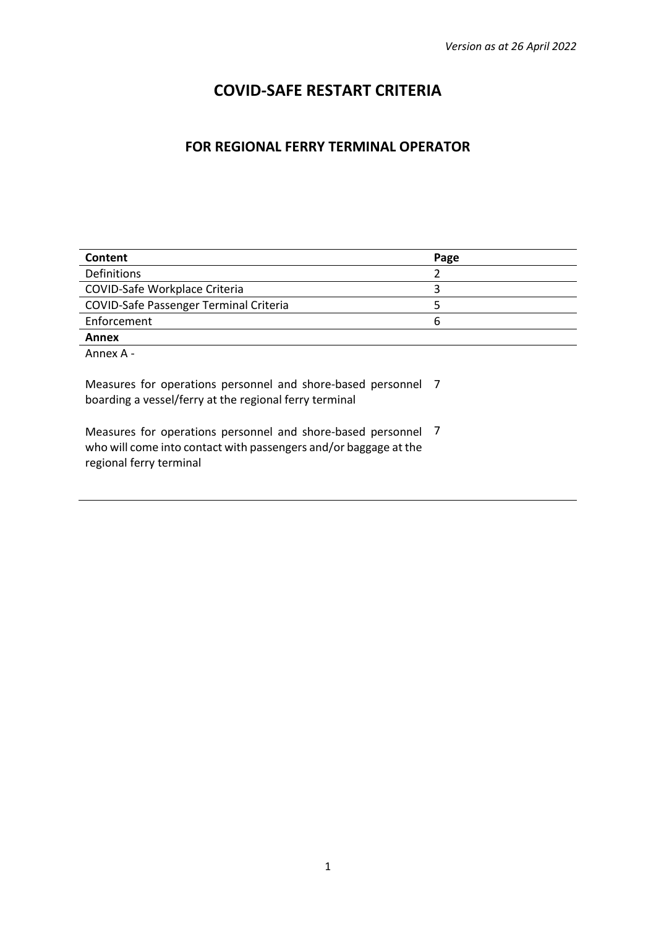# **COVID-SAFE RESTART CRITERIA**

## **FOR REGIONAL FERRY TERMINAL OPERATOR**

| Content                                       | Page |
|-----------------------------------------------|------|
| Definitions                                   |      |
| COVID-Safe Workplace Criteria                 |      |
| <b>COVID-Safe Passenger Terminal Criteria</b> |      |
| Enforcement                                   | n    |
| Annex                                         |      |

Annex A -

Measures for operations personnel and shore-based personnel 7 boarding a vessel/ferry at the regional ferry terminal

Measures for operations personnel and shore-based personnel 7who will come into contact with passengers and/or baggage at the regional ferry terminal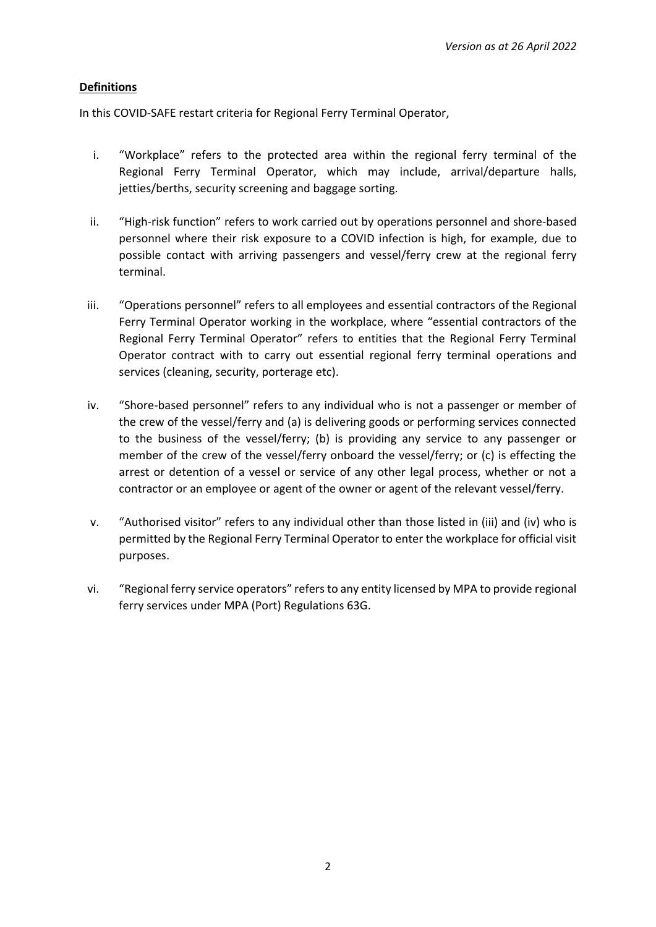## **Definitions**

In this COVID-SAFE restart criteria for Regional Ferry Terminal Operator,

- i. "Workplace" refers to the protected area within the regional ferry terminal of the Regional Ferry Terminal Operator, which may include, arrival/departure halls, jetties/berths, security screening and baggage sorting.
- ii. "High-risk function" refers to work carried out by operations personnel and shore-based personnel where their risk exposure to a COVID infection is high, for example, due to possible contact with arriving passengers and vessel/ferry crew at the regional ferry terminal.
- iii. "Operations personnel" refers to all employees and essential contractors of the Regional Ferry Terminal Operator working in the workplace, where "essential contractors of the Regional Ferry Terminal Operator" refers to entities that the Regional Ferry Terminal Operator contract with to carry out essential regional ferry terminal operations and services (cleaning, security, porterage etc).
- iv. "Shore-based personnel" refers to any individual who is not a passenger or member of the crew of the vessel/ferry and (a) is delivering goods or performing services connected to the business of the vessel/ferry; (b) is providing any service to any passenger or member of the crew of the vessel/ferry onboard the vessel/ferry; or (c) is effecting the arrest or detention of a vessel or service of any other legal process, whether or not a contractor or an employee or agent of the owner or agent of the relevant vessel/ferry.
- v. "Authorised visitor" refers to any individual other than those listed in (iii) and (iv) who is permitted by the Regional Ferry Terminal Operator to enter the workplace for official visit purposes.
- vi. "Regional ferry service operators" refers to any entity licensed by MPA to provide regional ferry services under MPA (Port) Regulations 63G.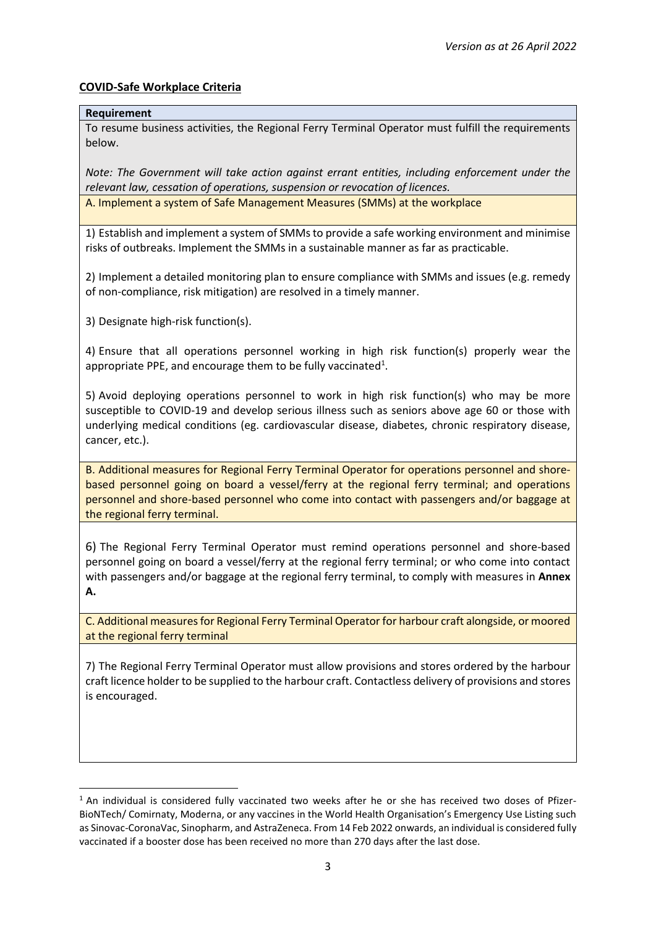## **COVID-Safe Workplace Criteria**

#### **Requirement**

To resume business activities, the Regional Ferry Terminal Operator must fulfill the requirements below.

*Note: The Government will take action against errant entities, including enforcement under the relevant law, cessation of operations, suspension or revocation of licences.* 

A. Implement a system of Safe Management Measures (SMMs) at the workplace

1) Establish and implement a system of SMMs to provide a safe working environment and minimise risks of outbreaks. Implement the SMMs in a sustainable manner as far as practicable.

2) Implement a detailed monitoring plan to ensure compliance with SMMs and issues (e.g. remedy of non-compliance, risk mitigation) are resolved in a timely manner.

3) Designate high-risk function(s).

4) Ensure that all operations personnel working in high risk function(s) properly wear the appropriate PPE, and encourage them to be fully vaccinated<sup>1</sup>.

5) Avoid deploying operations personnel to work in high risk function(s) who may be more susceptible to COVID-19 and develop serious illness such as seniors above age 60 or those with underlying medical conditions (eg. cardiovascular disease, diabetes, chronic respiratory disease, cancer, etc.).

B. Additional measures for Regional Ferry Terminal Operator for operations personnel and shorebased personnel going on board a vessel/ferry at the regional ferry terminal; and operations personnel and shore-based personnel who come into contact with passengers and/or baggage at the regional ferry terminal.

6) The Regional Ferry Terminal Operator must remind operations personnel and shore-based personnel going on board a vessel/ferry at the regional ferry terminal; or who come into contact with passengers and/or baggage at the regional ferry terminal, to comply with measures in **Annex A.**

C. Additional measures for Regional Ferry Terminal Operator for harbour craft alongside, or moored at the regional ferry terminal

7) The Regional Ferry Terminal Operator must allow provisions and stores ordered by the harbour craft licence holder to be supplied to the harbour craft. Contactless delivery of provisions and stores is encouraged.

 $1$  An individual is considered fully vaccinated two weeks after he or she has received two doses of Pfizer-BioNTech/ Comirnaty, Moderna, or any vaccines in the World Health Organisation's Emergency Use Listing such as Sinovac-CoronaVac, Sinopharm, and AstraZeneca. From 14 Feb 2022 onwards, an individual is considered fully vaccinated if a booster dose has been received no more than 270 days after the last dose.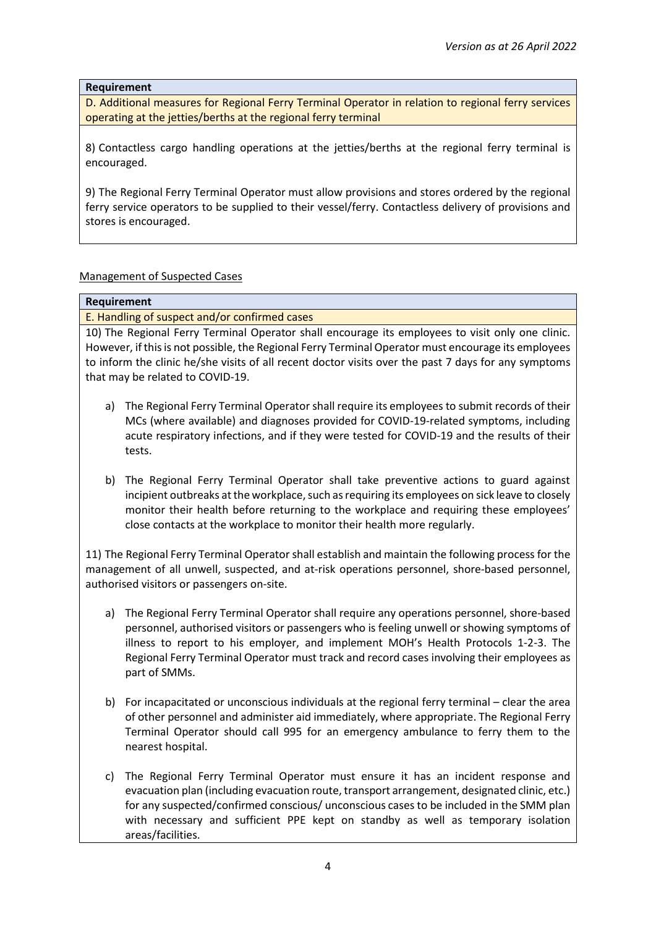#### **Requirement**

D. Additional measures for Regional Ferry Terminal Operator in relation to regional ferry services operating at the jetties/berths at the regional ferry terminal

8) Contactless cargo handling operations at the jetties/berths at the regional ferry terminal is encouraged.

9) The Regional Ferry Terminal Operator must allow provisions and stores ordered by the regional ferry service operators to be supplied to their vessel/ferry. Contactless delivery of provisions and stores is encouraged.

### Management of Suspected Cases

#### **Requirement**

E. Handling of suspect and/or confirmed cases

10) The Regional Ferry Terminal Operator shall encourage its employees to visit only one clinic. However, if this is not possible, the Regional Ferry Terminal Operator must encourage its employees to inform the clinic he/she visits of all recent doctor visits over the past 7 days for any symptoms that may be related to COVID-19.

- a) The Regional Ferry Terminal Operator shall require its employees to submit records of their MCs (where available) and diagnoses provided for COVID-19-related symptoms, including acute respiratory infections, and if they were tested for COVID-19 and the results of their tests.
- b) The Regional Ferry Terminal Operator shall take preventive actions to guard against incipient outbreaks at the workplace, such as requiring its employees on sick leave to closely monitor their health before returning to the workplace and requiring these employees' close contacts at the workplace to monitor their health more regularly.

11) The Regional Ferry Terminal Operator shall establish and maintain the following process for the management of all unwell, suspected, and at-risk operations personnel, shore-based personnel, authorised visitors or passengers on-site.

- a) The Regional Ferry Terminal Operator shall require any operations personnel, shore-based personnel, authorised visitors or passengers who is feeling unwell or showing symptoms of illness to report to his employer, and implement MOH's Health Protocols 1-2-3. The Regional Ferry Terminal Operator must track and record cases involving their employees as part of SMMs.
- b) For incapacitated or unconscious individuals at the regional ferry terminal clear the area of other personnel and administer aid immediately, where appropriate. The Regional Ferry Terminal Operator should call 995 for an emergency ambulance to ferry them to the nearest hospital.
- c) The Regional Ferry Terminal Operator must ensure it has an incident response and evacuation plan (including evacuation route, transport arrangement, designated clinic, etc.) for any suspected/confirmed conscious/ unconscious cases to be included in the SMM plan with necessary and sufficient PPE kept on standby as well as temporary isolation areas/facilities.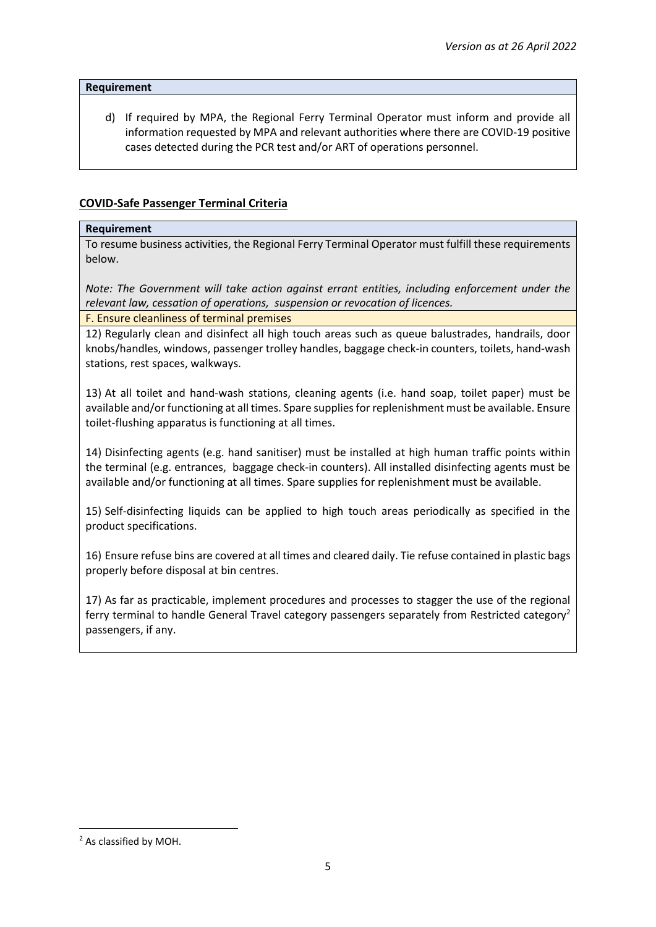#### **Requirement**

d) If required by MPA, the Regional Ferry Terminal Operator must inform and provide all information requested by MPA and relevant authorities where there are COVID-19 positive cases detected during the PCR test and/or ART of operations personnel.

## **COVID-Safe Passenger Terminal Criteria**

#### **Requirement**

To resume business activities, the Regional Ferry Terminal Operator must fulfill these requirements below.

*Note: The Government will take action against errant entities, including enforcement under the relevant law, cessation of operations, suspension or revocation of licences.*

F. Ensure cleanliness of terminal premises

12) Regularly clean and disinfect all high touch areas such as queue balustrades, handrails, door knobs/handles, windows, passenger trolley handles, baggage check-in counters, toilets, hand-wash stations, rest spaces, walkways.

13) At all toilet and hand-wash stations, cleaning agents (i.e. hand soap, toilet paper) must be available and/or functioning at all times. Spare supplies for replenishment must be available. Ensure toilet-flushing apparatus is functioning at all times.

14) Disinfecting agents (e.g. hand sanitiser) must be installed at high human traffic points within the terminal (e.g. entrances, baggage check-in counters). All installed disinfecting agents must be available and/or functioning at all times. Spare supplies for replenishment must be available.

15) Self-disinfecting liquids can be applied to high touch areas periodically as specified in the product specifications.

16) Ensure refuse bins are covered at all times and cleared daily. Tie refuse contained in plastic bags properly before disposal at bin centres.

17) As far as practicable, implement procedures and processes to stagger the use of the regional ferry terminal to handle General Travel category passengers separately from Restricted category<sup>2</sup> passengers, if any.

<sup>2</sup> As classified by MOH.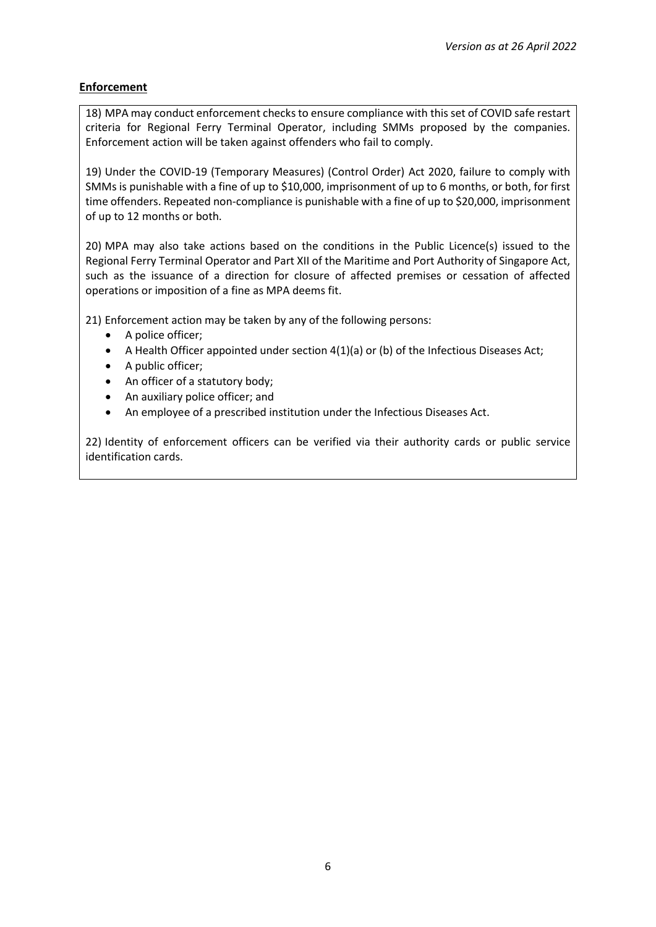## **Enforcement**

18) MPA may conduct enforcement checks to ensure compliance with this set of COVID safe restart criteria for Regional Ferry Terminal Operator, including SMMs proposed by the companies. Enforcement action will be taken against offenders who fail to comply.

19) Under the COVID-19 (Temporary Measures) (Control Order) Act 2020, failure to comply with SMMs is punishable with a fine of up to \$10,000, imprisonment of up to 6 months, or both, for first time offenders. Repeated non-compliance is punishable with a fine of up to \$20,000, imprisonment of up to 12 months or both.

20) MPA may also take actions based on the conditions in the Public Licence(s) issued to the Regional Ferry Terminal Operator and Part XII of the Maritime and Port Authority of Singapore Act, such as the issuance of a direction for closure of affected premises or cessation of affected operations or imposition of a fine as MPA deems fit.

21) Enforcement action may be taken by any of the following persons:

- A police officer;
- A Health Officer appointed under section 4(1)(a) or (b) of the Infectious Diseases Act;
- A public officer;
- An officer of a statutory body;
- An auxiliary police officer; and
- An employee of a prescribed institution under the Infectious Diseases Act.

22) Identity of enforcement officers can be verified via their authority cards or public service identification cards.